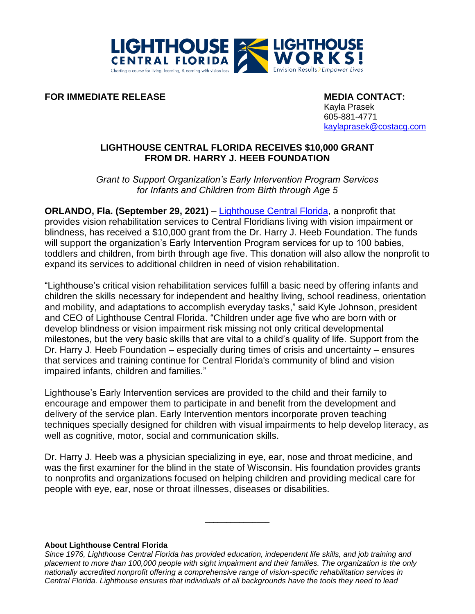

**FOR IMMEDIATE RELEASE MEDIA CONTACT:** 

Kayla Prasek 605-881-4771 [kaylaprasek@costacg.com](mailto:kaylaprasek@costacg.com)

## **LIGHTHOUSE CENTRAL FLORIDA RECEIVES \$10,000 GRANT FROM DR. HARRY J. HEEB FOUNDATION**

*Grant to Support Organization's Early Intervention Program Services for Infants and Children from Birth through Age 5* 

**ORLANDO, Fla. (September 29, 2021)** – [Lighthouse Central Florida,](file://///server02/FolderRedirection/vanessa/Desktop/lighthousecfl.org) a nonprofit that provides vision rehabilitation services to Central Floridians living with vision impairment or blindness, has received a \$10,000 grant from the Dr. Harry J. Heeb Foundation. The funds will support the organization's Early Intervention Program services for up to 100 babies, toddlers and children, from birth through age five. This donation will also allow the nonprofit to expand its services to additional children in need of vision rehabilitation.

"Lighthouse's critical vision rehabilitation services fulfill a basic need by offering infants and children the skills necessary for independent and healthy living, school readiness, orientation and mobility, and adaptations to accomplish everyday tasks," said Kyle Johnson, president and CEO of Lighthouse Central Florida. "Children under age five who are born with or develop blindness or vision impairment risk missing not only critical developmental milestones, but the very basic skills that are vital to a child's quality of life. Support from the Dr. Harry J. Heeb Foundation – especially during times of crisis and uncertainty – ensures that services and training continue for Central Florida's community of blind and vision impaired infants, children and families."

Lighthouse's Early Intervention services are provided to the child and their family to encourage and empower them to participate in and benefit from the development and delivery of the service plan. Early Intervention mentors incorporate proven teaching techniques specially designed for children with visual impairments to help develop literacy, as well as cognitive, motor, social and communication skills.

Dr. Harry J. Heeb was a physician specializing in eye, ear, nose and throat medicine, and was the first examiner for the blind in the state of Wisconsin. His foundation provides grants to nonprofits and organizations focused on helping children and providing medical care for people with eye, ear, nose or throat illnesses, diseases or disabilities.

\_\_\_\_\_\_\_\_\_\_\_\_\_\_\_

## **About Lighthouse Central Florida**

*Since 1976, Lighthouse Central Florida has provided education, independent life skills, and job training and placement to more than 100,000 people with sight impairment and their families. The organization is the only nationally accredited nonprofit offering a comprehensive range of vision-specific rehabilitation services in Central Florida. Lighthouse ensures that individuals of all backgrounds have the tools they need to lead*